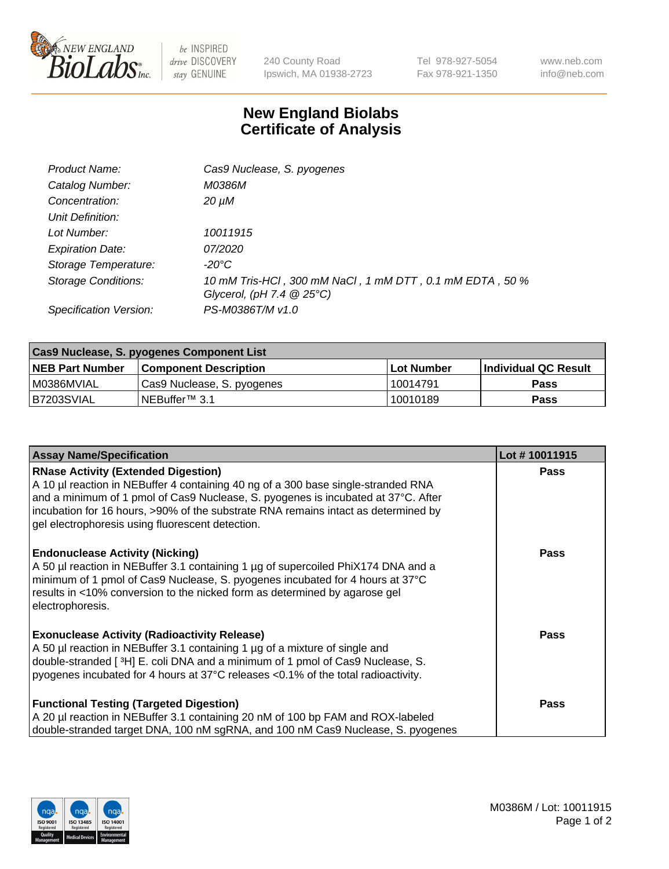

 $be$  INSPIRED drive DISCOVERY stay GENUINE

240 County Road Ipswich, MA 01938-2723 Tel 978-927-5054 Fax 978-921-1350 www.neb.com info@neb.com

## **New England Biolabs Certificate of Analysis**

| Product Name:              | Cas9 Nuclease, S. pyogenes                                                              |
|----------------------------|-----------------------------------------------------------------------------------------|
| Catalog Number:            | M0386M                                                                                  |
| Concentration:             | $20 \mu M$                                                                              |
| Unit Definition:           |                                                                                         |
| Lot Number:                | 10011915                                                                                |
| <b>Expiration Date:</b>    | <i>07/2020</i>                                                                          |
| Storage Temperature:       | $-20^{\circ}$ C                                                                         |
| <b>Storage Conditions:</b> | 10 mM Tris-HCl, 300 mM NaCl, 1 mM DTT, 0.1 mM EDTA, 50 %<br>Glycerol, (pH 7.4 $@25°C$ ) |
| Specification Version:     | PS-M0386T/M v1.0                                                                        |

| Cas9 Nuclease, S. pyogenes Component List |                              |                   |                      |  |  |
|-------------------------------------------|------------------------------|-------------------|----------------------|--|--|
| <b>NEB Part Number</b>                    | <b>Component Description</b> | <b>Lot Number</b> | Individual QC Result |  |  |
| I M0386MVIAL                              | Cas9 Nuclease, S. pyogenes   | 10014791          | <b>Pass</b>          |  |  |
| I B7203SVIAL                              | NEBuffer™ 3.1                | 10010189          | <b>Pass</b>          |  |  |

| <b>Assay Name/Specification</b>                                                                                                                                                                                                                                                                                                                                | Lot #10011915 |
|----------------------------------------------------------------------------------------------------------------------------------------------------------------------------------------------------------------------------------------------------------------------------------------------------------------------------------------------------------------|---------------|
| <b>RNase Activity (Extended Digestion)</b><br>A 10 µl reaction in NEBuffer 4 containing 40 ng of a 300 base single-stranded RNA<br>and a minimum of 1 pmol of Cas9 Nuclease, S. pyogenes is incubated at 37°C. After<br>incubation for 16 hours, >90% of the substrate RNA remains intact as determined by<br>gel electrophoresis using fluorescent detection. | <b>Pass</b>   |
| <b>Endonuclease Activity (Nicking)</b><br>A 50 µl reaction in NEBuffer 3.1 containing 1 µg of supercoiled PhiX174 DNA and a<br>minimum of 1 pmol of Cas9 Nuclease, S. pyogenes incubated for 4 hours at 37°C<br>results in <10% conversion to the nicked form as determined by agarose gel<br>electrophoresis.                                                 | Pass          |
| <b>Exonuclease Activity (Radioactivity Release)</b><br>A 50 µl reaction in NEBuffer 3.1 containing 1 µg of a mixture of single and<br>double-stranded [3H] E. coli DNA and a minimum of 1 pmol of Cas9 Nuclease, S.<br>pyogenes incubated for 4 hours at 37°C releases <0.1% of the total radioactivity.                                                       | Pass          |
| <b>Functional Testing (Targeted Digestion)</b><br>A 20 µl reaction in NEBuffer 3.1 containing 20 nM of 100 bp FAM and ROX-labeled<br>double-stranded target DNA, 100 nM sgRNA, and 100 nM Cas9 Nuclease, S. pyogenes                                                                                                                                           | Pass          |